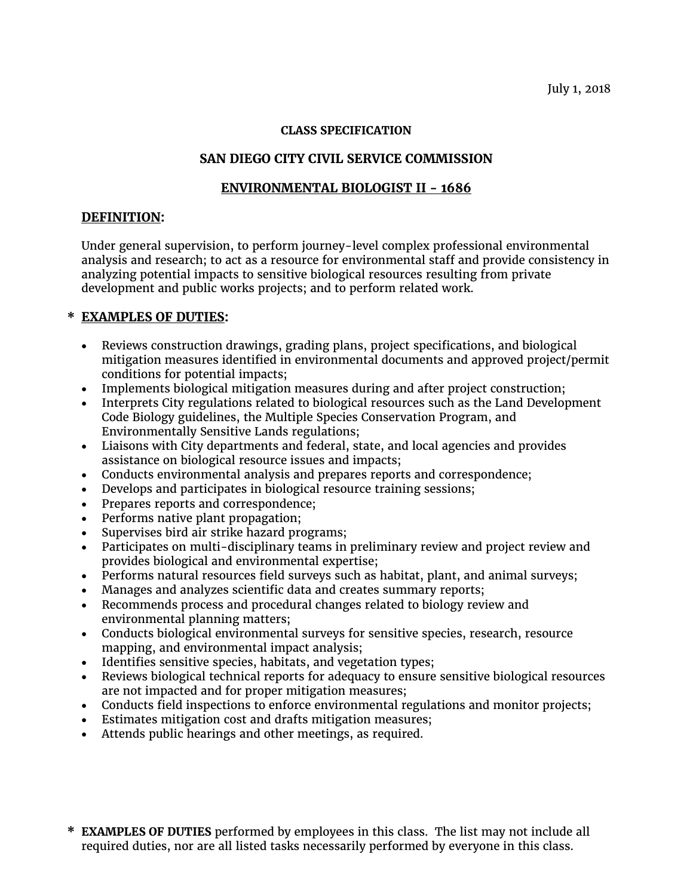### **CLASS SPECIFICATION**

# **SAN DIEGO CITY CIVIL SERVICE COMMISSION**

## **ENVIRONMENTAL BIOLOGIST II - 1686**

### **DEFINITION:**

Under general supervision, to perform journey-level complex professional environmental analysis and research; to act as a resource for environmental staff and provide consistency in analyzing potential impacts to sensitive biological resources resulting from private development and public works projects; and to perform related work.

# **\* EXAMPLES OF DUTIES:**

- Reviews construction drawings, grading plans, project specifications, and biological mitigation measures identified in environmental documents and approved project/permit conditions for potential impacts;
- Implements biological mitigation measures during and after project construction;
- Interprets City regulations related to biological resources such as the Land Development Code Biology guidelines, the Multiple Species Conservation Program, and Environmentally Sensitive Lands regulations;
- Liaisons with City departments and federal, state, and local agencies and provides assistance on biological resource issues and impacts;
- Conducts environmental analysis and prepares reports and correspondence;
- Develops and participates in biological resource training sessions;
- Prepares reports and correspondence;
- Performs native plant propagation;
- Supervises bird air strike hazard programs;
- Participates on multi-disciplinary teams in preliminary review and project review and provides biological and environmental expertise;
- Performs natural resources field surveys such as habitat, plant, and animal surveys;
- Manages and analyzes scientific data and creates summary reports;
- Recommends process and procedural changes related to biology review and environmental planning matters;
- Conducts biological environmental surveys for sensitive species, research, resource mapping, and environmental impact analysis;
- Identifies sensitive species, habitats, and vegetation types;
- Reviews biological technical reports for adequacy to ensure sensitive biological resources are not impacted and for proper mitigation measures;
- Conducts field inspections to enforce environmental regulations and monitor projects;
- Estimates mitigation cost and drafts mitigation measures;
- Attends public hearings and other meetings, as required.
- **\* EXAMPLES OF DUTIES** performed by employees in this class. The list may not include all required duties, nor are all listed tasks necessarily performed by everyone in this class.